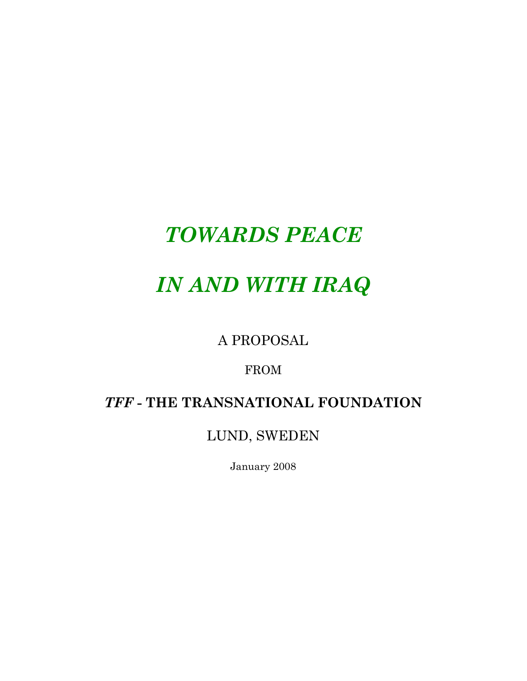# *TOWARDS PEACE*

# *IN AND WITH IRAQ*

A PROPOSAL

FROM

# *TFF* **- THE TRANSNATIONAL FOUNDATION**

LUND, SWEDEN

January 2008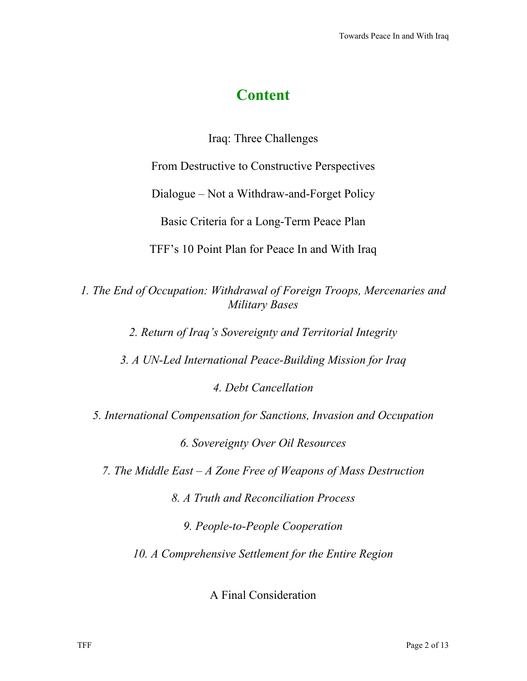# **Content**

Iraq: Three Challenges

From Destructive to Constructive Perspectives

Dialogue – Not a Withdraw-and-Forget Policy

Basic Criteria for a Long-Term Peace Plan

TFF's 10 Point Plan for Peace In and With Iraq

*1. The End of Occupation: Withdrawal of Foreign Troops, Mercenaries and Military Bases*

*2. Return of Iraq's Sovereignty and Territorial Integrity*

*3. A UN-Led International Peace-Building Mission for Iraq*

*4. Debt Cancellation*

*5. International Compensation for Sanctions, Invasion and Occupation*

*6. Sovereignty Over Oil Resources*

*7. The Middle East – A Zone Free of Weapons of Mass Destruction*

*8. A Truth and Reconciliation Process*

*9. People-to-People Cooperation*

*10. A Comprehensive Settlement for the Entire Region*

A Final Consideration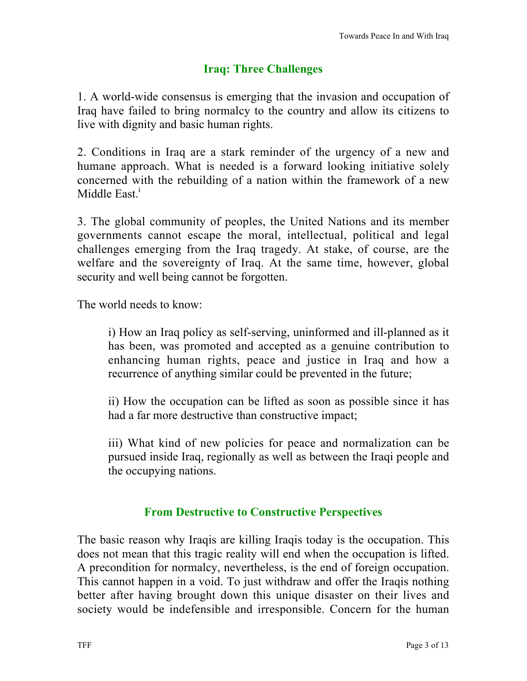## **Iraq: Three Challenges**

1. A world-wide consensus is emerging that the invasion and occupation of Iraq have failed to bring normalcy to the country and allow its citizens to live with dignity and basic human rights.

2. Conditions in Iraq are a stark reminder of the urgency of a new and humane approach. What is needed is a forward looking initiative solely concerned with the rebuilding of a nation within the framework of a new Middle East. $<sup>1</sup>$ </sup>

3. The global community of peoples, the United Nations and its member governments cannot escape the moral, intellectual, political and legal challenges emerging from the Iraq tragedy. At stake, of course, are the welfare and the sovereignty of Iraq. At the same time, however, global security and well being cannot be forgotten.

The world needs to know:

i) How an Iraq policy as self-serving, uninformed and ill-planned as it has been, was promoted and accepted as a genuine contribution to enhancing human rights, peace and justice in Iraq and how a recurrence of anything similar could be prevented in the future;

ii) How the occupation can be lifted as soon as possible since it has had a far more destructive than constructive impact;

iii) What kind of new policies for peace and normalization can be pursued inside Iraq, regionally as well as between the Iraqi people and the occupying nations.

### **From Destructive to Constructive Perspectives**

The basic reason why Iraqis are killing Iraqis today is the occupation. This does not mean that this tragic reality will end when the occupation is lifted. A precondition for normalcy, nevertheless, is the end of foreign occupation. This cannot happen in a void. To just withdraw and offer the Iraqis nothing better after having brought down this unique disaster on their lives and society would be indefensible and irresponsible. Concern for the human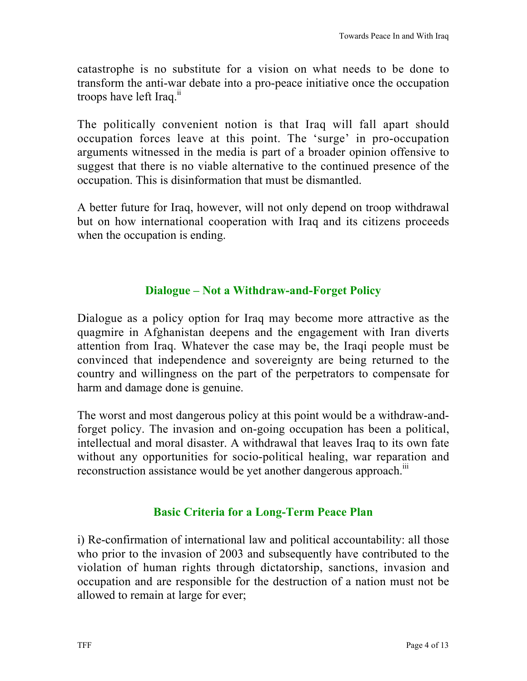catastrophe is no substitute for a vision on what needs to be done to transform the anti-war debate into a pro-peace initiative once the occupation troops have left Iraq.<sup>ii</sup>

The politically convenient notion is that Iraq will fall apart should occupation forces leave at this point. The 'surge' in pro-occupation arguments witnessed in the media is part of a broader opinion offensive to suggest that there is no viable alternative to the continued presence of the occupation. This is disinformation that must be dismantled.

A better future for Iraq, however, will not only depend on troop withdrawal but on how international cooperation with Iraq and its citizens proceeds when the occupation is ending.

#### **Dialogue – Not a Withdraw-and-Forget Policy**

Dialogue as a policy option for Iraq may become more attractive as the quagmire in Afghanistan deepens and the engagement with Iran diverts attention from Iraq. Whatever the case may be, the Iraqi people must be convinced that independence and sovereignty are being returned to the country and willingness on the part of the perpetrators to compensate for harm and damage done is genuine.

The worst and most dangerous policy at this point would be a withdraw-andforget policy. The invasion and on-going occupation has been a political, intellectual and moral disaster. A withdrawal that leaves Iraq to its own fate without any opportunities for socio-political healing, war reparation and reconstruction assistance would be yet another dangerous approach.<sup>iii</sup>

### **Basic Criteria for a Long-Term Peace Plan**

i) Re-confirmation of international law and political accountability: all those who prior to the invasion of 2003 and subsequently have contributed to the violation of human rights through dictatorship, sanctions, invasion and occupation and are responsible for the destruction of a nation must not be allowed to remain at large for ever;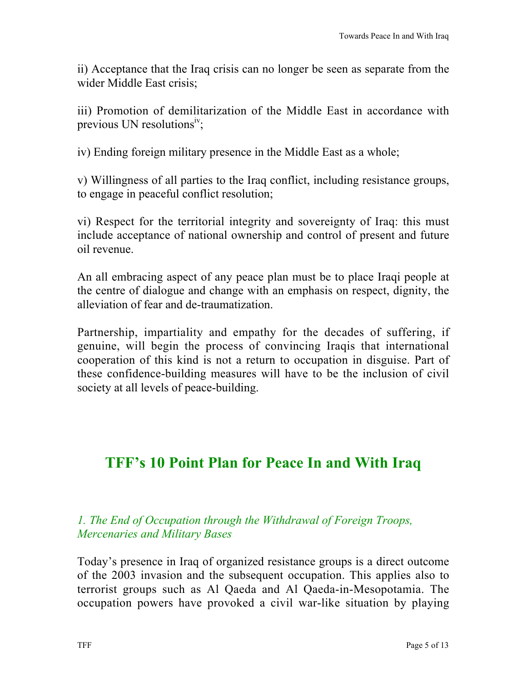ii) Acceptance that the Iraq crisis can no longer be seen as separate from the wider Middle East crisis;

iii) Promotion of demilitarization of the Middle East in accordance with previous UN resolutions<sup>iv</sup>;

iv) Ending foreign military presence in the Middle East as a whole;

v) Willingness of all parties to the Iraq conflict, including resistance groups, to engage in peaceful conflict resolution;

vi) Respect for the territorial integrity and sovereignty of Iraq: this must include acceptance of national ownership and control of present and future oil revenue.

An all embracing aspect of any peace plan must be to place Iraqi people at the centre of dialogue and change with an emphasis on respect, dignity, the alleviation of fear and de-traumatization.

Partnership, impartiality and empathy for the decades of suffering, if genuine, will begin the process of convincing Iraqis that international cooperation of this kind is not a return to occupation in disguise. Part of these confidence-building measures will have to be the inclusion of civil society at all levels of peace-building.

# **TFF's 10 Point Plan for Peace In and With Iraq**

### *1. The End of Occupation through the Withdrawal of Foreign Troops, Mercenaries and Military Bases*

Today's presence in Iraq of organized resistance groups is a direct outcome of the 2003 invasion and the subsequent occupation. This applies also to terrorist groups such as Al Qaeda and Al Qaeda-in-Mesopotamia. The occupation powers have provoked a civil war-like situation by playing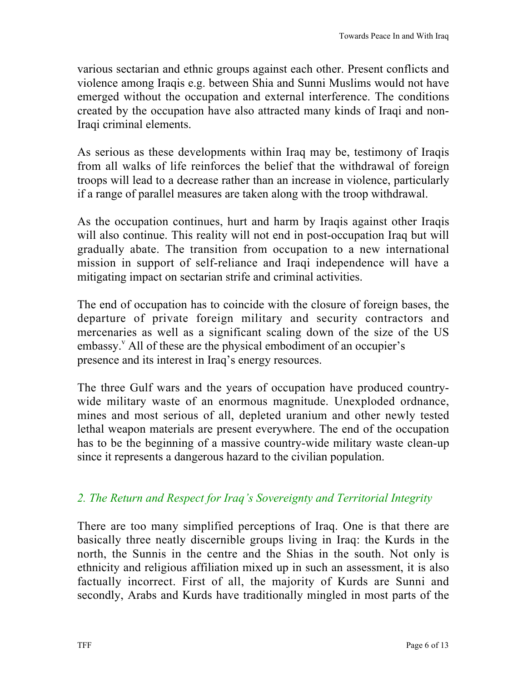various sectarian and ethnic groups against each other. Present conflicts and violence among Iraqis e.g. between Shia and Sunni Muslims would not have emerged without the occupation and external interference. The conditions created by the occupation have also attracted many kinds of Iraqi and non-Iraqi criminal elements.

As serious as these developments within Iraq may be, testimony of Iraqis from all walks of life reinforces the belief that the withdrawal of foreign troops will lead to a decrease rather than an increase in violence, particularly if a range of parallel measures are taken along with the troop withdrawal.

As the occupation continues, hurt and harm by Iraqis against other Iraqis will also continue. This reality will not end in post-occupation Iraq but will gradually abate. The transition from occupation to a new international mission in support of self-reliance and Iraqi independence will have a mitigating impact on sectarian strife and criminal activities.

The end of occupation has to coincide with the closure of foreign bases, the departure of private foreign military and security contractors and mercenaries as well as a significant scaling down of the size of the US embassy.<sup>v</sup> All of these are the physical embodiment of an occupier's presence and its interest in Iraq's energy resources.

The three Gulf wars and the years of occupation have produced countrywide military waste of an enormous magnitude. Unexploded ordnance, mines and most serious of all, depleted uranium and other newly tested lethal weapon materials are present everywhere. The end of the occupation has to be the beginning of a massive country-wide military waste clean-up since it represents a dangerous hazard to the civilian population.

# *2. The Return and Respect for Iraq's Sovereignty and Territorial Integrity*

There are too many simplified perceptions of Iraq. One is that there are basically three neatly discernible groups living in Iraq: the Kurds in the north, the Sunnis in the centre and the Shias in the south. Not only is ethnicity and religious affiliation mixed up in such an assessment, it is also factually incorrect. First of all, the majority of Kurds are Sunni and secondly, Arabs and Kurds have traditionally mingled in most parts of the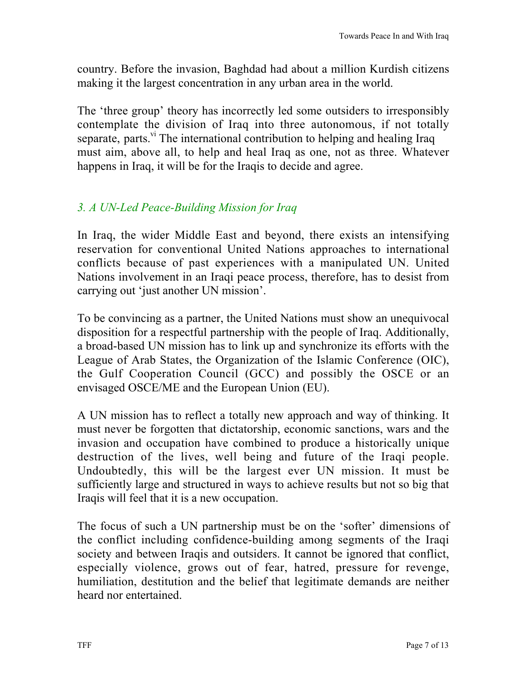country. Before the invasion, Baghdad had about a million Kurdish citizens making it the largest concentration in any urban area in the world.

The 'three group' theory has incorrectly led some outsiders to irresponsibly contemplate the division of Iraq into three autonomous, if not totally separate, parts.<sup>vi</sup> The international contribution to helping and healing Iraq must aim, above all, to help and heal Iraq as one, not as three. Whatever happens in Iraq, it will be for the Iraqis to decide and agree.

# *3. A UN-Led Peace-Building Mission for Iraq*

In Iraq, the wider Middle East and beyond, there exists an intensifying reservation for conventional United Nations approaches to international conflicts because of past experiences with a manipulated UN. United Nations involvement in an Iraqi peace process, therefore, has to desist from carrying out 'just another UN mission'.

To be convincing as a partner, the United Nations must show an unequivocal disposition for a respectful partnership with the people of Iraq. Additionally, a broad-based UN mission has to link up and synchronize its efforts with the League of Arab States, the Organization of the Islamic Conference (OIC), the Gulf Cooperation Council (GCC) and possibly the OSCE or an envisaged OSCE/ME and the European Union (EU).

A UN mission has to reflect a totally new approach and way of thinking. It must never be forgotten that dictatorship, economic sanctions, wars and the invasion and occupation have combined to produce a historically unique destruction of the lives, well being and future of the Iraqi people. Undoubtedly, this will be the largest ever UN mission. It must be sufficiently large and structured in ways to achieve results but not so big that Iraqis will feel that it is a new occupation.

The focus of such a UN partnership must be on the 'softer' dimensions of the conflict including confidence-building among segments of the Iraqi society and between Iraqis and outsiders. It cannot be ignored that conflict, especially violence, grows out of fear, hatred, pressure for revenge, humiliation, destitution and the belief that legitimate demands are neither heard nor entertained.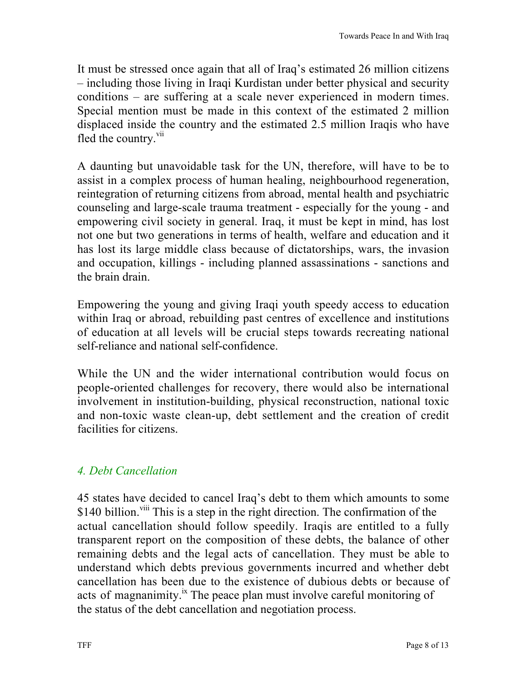It must be stressed once again that all of Iraq's estimated 26 million citizens – including those living in Iraqi Kurdistan under better physical and security conditions – are suffering at a scale never experienced in modern times. Special mention must be made in this context of the estimated 2 million displaced inside the country and the estimated 2.5 million Iraqis who have fled the country.<sup>vii</sup>

A daunting but unavoidable task for the UN, therefore, will have to be to assist in a complex process of human healing, neighbourhood regeneration, reintegration of returning citizens from abroad, mental health and psychiatric counseling and large-scale trauma treatment - especially for the young - and empowering civil society in general. Iraq, it must be kept in mind, has lost not one but two generations in terms of health, welfare and education and it has lost its large middle class because of dictatorships, wars, the invasion and occupation, killings - including planned assassinations - sanctions and the brain drain.

Empowering the young and giving Iraqi youth speedy access to education within Iraq or abroad, rebuilding past centres of excellence and institutions of education at all levels will be crucial steps towards recreating national self-reliance and national self-confidence.

While the UN and the wider international contribution would focus on people-oriented challenges for recovery, there would also be international involvement in institution-building, physical reconstruction, national toxic and non-toxic waste clean-up, debt settlement and the creation of credit facilities for citizens.

# *4. Debt Cancellation*

45 states have decided to cancel Iraq's debt to them which amounts to some \$140 billion.<sup>viii</sup> This is a step in the right direction. The confirmation of the actual cancellation should follow speedily. Iraqis are entitled to a fully transparent report on the composition of these debts, the balance of other remaining debts and the legal acts of cancellation. They must be able to understand which debts previous governments incurred and whether debt cancellation has been due to the existence of dubious debts or because of acts of magnanimity.<sup>ix</sup> The peace plan must involve careful monitoring of the status of the debt cancellation and negotiation process.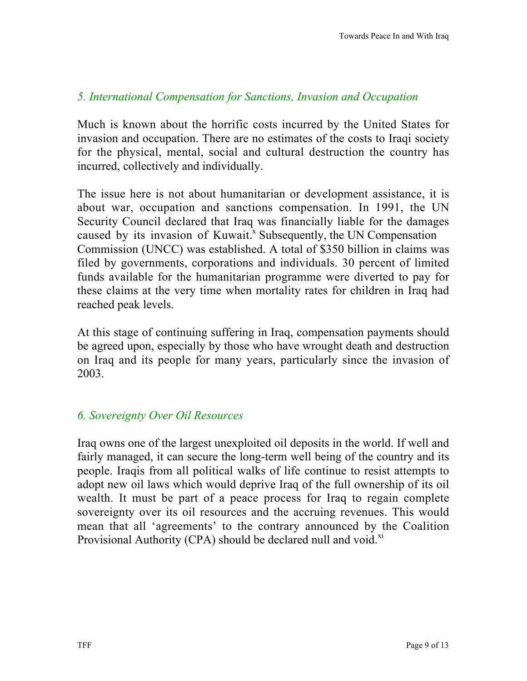#### *5. International Compensation for Sanctions, Invasion and Occupation*

Much is known about the horrific costs incurred by the United States for invasion and occupation. There are no estimates of the costs to Iraqi society for the physical, mental, social and cultural destruction the country has incurred, collectively and individually.

The issue here is not about humanitarian or development assistance, it is about war, occupation and sanctions compensation. In 1991, the UN Security Council declared that Iraq was financially liable for the damages caused by its invasion of Kuwait.<sup>x</sup> Subsequently, the UN Compensation Commission (UNCC) was established. A total of \$350 billion in claims was filed by governments, corporations and individuals. 30 percent of limited funds available for the humanitarian programme were diverted to pay for these claims at the very time when mortality rates for children in Iraq had reached peak levels.

At this stage of continuing suffering in Iraq, compensation payments should be agreed upon, especially by those who have wrought death and destruction on Iraq and its people for many years, particularly since the invasion of 2003.

### *6. Sovereignty Over Oil Resources*

Iraq owns one of the largest unexploited oil deposits in the world. If well and fairly managed, it can secure the long-term well being of the country and its people. Iraqis from all political walks of life continue to resist attempts to adopt new oil laws which would deprive Iraq of the full ownership of its oil wealth. It must be part of a peace process for Iraq to regain complete sovereignty over its oil resources and the accruing revenues. This would mean that all 'agreements' to the contrary announced by the Coalition Provisional Authority (CPA) should be declared null and void. $X<sup>i</sup>$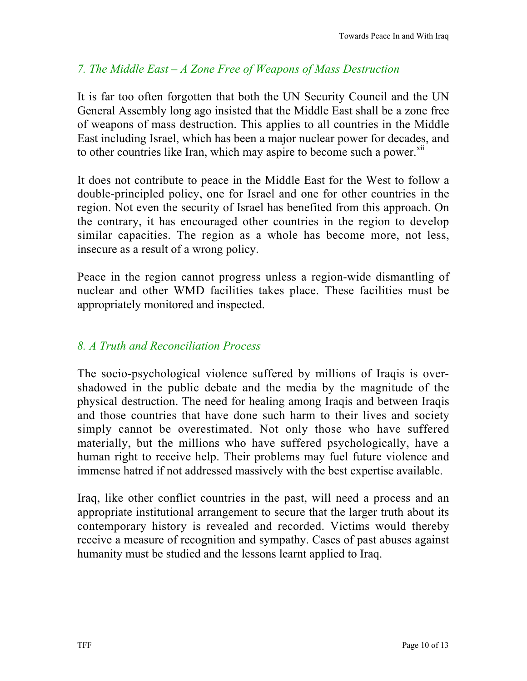# *7. The Middle East – A Zone Free of Weapons of Mass Destruction*

It is far too often forgotten that both the UN Security Council and the UN General Assembly long ago insisted that the Middle East shall be a zone free of weapons of mass destruction. This applies to all countries in the Middle East including Israel, which has been a major nuclear power for decades, and to other countries like Iran, which may aspire to become such a power.<sup>xii</sup>

It does not contribute to peace in the Middle East for the West to follow a double-principled policy, one for Israel and one for other countries in the region. Not even the security of Israel has benefited from this approach. On the contrary, it has encouraged other countries in the region to develop similar capacities. The region as a whole has become more, not less, insecure as a result of a wrong policy.

Peace in the region cannot progress unless a region-wide dismantling of nuclear and other WMD facilities takes place. These facilities must be appropriately monitored and inspected.

## *8. A Truth and Reconciliation Process*

The socio-psychological violence suffered by millions of Iraqis is overshadowed in the public debate and the media by the magnitude of the physical destruction. The need for healing among Iraqis and between Iraqis and those countries that have done such harm to their lives and society simply cannot be overestimated. Not only those who have suffered materially, but the millions who have suffered psychologically, have a human right to receive help. Their problems may fuel future violence and immense hatred if not addressed massively with the best expertise available.

Iraq, like other conflict countries in the past, will need a process and an appropriate institutional arrangement to secure that the larger truth about its contemporary history is revealed and recorded. Victims would thereby receive a measure of recognition and sympathy. Cases of past abuses against humanity must be studied and the lessons learnt applied to Iraq.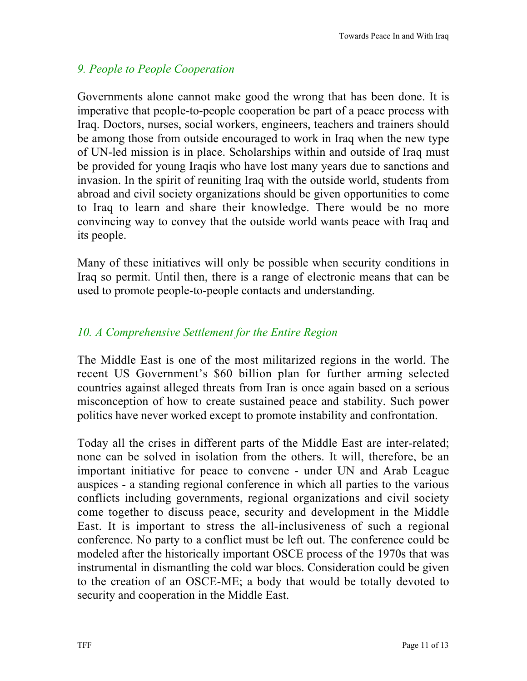# *9. People to People Cooperation*

Governments alone cannot make good the wrong that has been done. It is imperative that people-to-people cooperation be part of a peace process with Iraq. Doctors, nurses, social workers, engineers, teachers and trainers should be among those from outside encouraged to work in Iraq when the new type of UN-led mission is in place. Scholarships within and outside of Iraq must be provided for young Iraqis who have lost many years due to sanctions and invasion. In the spirit of reuniting Iraq with the outside world, students from abroad and civil society organizations should be given opportunities to come to Iraq to learn and share their knowledge. There would be no more convincing way to convey that the outside world wants peace with Iraq and its people.

Many of these initiatives will only be possible when security conditions in Iraq so permit. Until then, there is a range of electronic means that can be used to promote people-to-people contacts and understanding.

# *10. A Comprehensive Settlement for the Entire Region*

The Middle East is one of the most militarized regions in the world. The recent US Government's \$60 billion plan for further arming selected countries against alleged threats from Iran is once again based on a serious misconception of how to create sustained peace and stability. Such power politics have never worked except to promote instability and confrontation.

Today all the crises in different parts of the Middle East are inter-related; none can be solved in isolation from the others. It will, therefore, be an important initiative for peace to convene - under UN and Arab League auspices - a standing regional conference in which all parties to the various conflicts including governments, regional organizations and civil society come together to discuss peace, security and development in the Middle East. It is important to stress the all-inclusiveness of such a regional conference. No party to a conflict must be left out. The conference could be modeled after the historically important OSCE process of the 1970s that was instrumental in dismantling the cold war blocs. Consideration could be given to the creation of an OSCE-ME; a body that would be totally devoted to security and cooperation in the Middle East.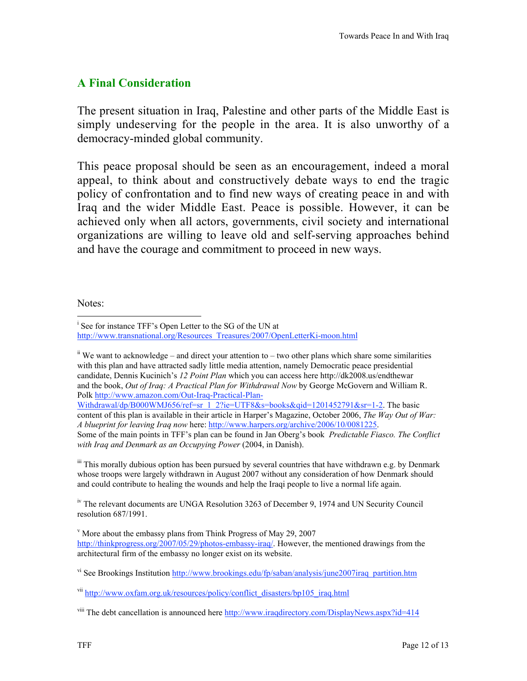## **A Final Consideration**

The present situation in Iraq, Palestine and other parts of the Middle East is simply undeserving for the people in the area. It is also unworthy of a democracy-minded global community.

This peace proposal should be seen as an encouragement, indeed a moral appeal, to think about and constructively debate ways to end the tragic policy of confrontation and to find new ways of creating peace in and with Iraq and the wider Middle East. Peace is possible. However, it can be achieved only when all actors, governments, civil society and international organizations are willing to leave old and self-serving approaches behind and have the courage and commitment to proceed in new ways.

Notes:

 $\mathbf{u}$  We want to acknowledge – and direct your attention to – two other plans which share some similarities with this plan and have attracted sadly little media attention, namely Democratic peace presidential candidate, Dennis Kucinich's *12 Point Plan* which you can access here http://dk2008.us/endthewar and the book, *Out of Iraq: A Practical Plan for Withdrawal Now* by George McGovern and William R. Polk http://www.amazon.com/Out-Iraq-Practical-Plan-

Withdrawal/dp/B000WMJ656/ref=sr\_1\_2?ie=UTF8&s=books&qid=1201452791&sr=1-2. The basic content of this plan is available in their article in Harper's Magazine, October 2006, *The Way Out of War: A blueprint for leaving Iraq now* here: http://www.harpers.org/archive/2006/10/0081225. Some of the main points in TFF's plan can be found in Jan Oberg's book *Predictable Fiasco. The Conflict with Iraq and Denmark as an Occupying Power* (2004, in Danish).

iii This morally dubious option has been pursued by several countries that have withdrawn e.g. by Denmark whose troops were largely withdrawn in August 2007 without any consideration of how Denmark should and could contribute to healing the wounds and help the Iraqi people to live a normal life again.

<sup>iv</sup> The relevant documents are UNGA Resolution 3263 of December 9, 1974 and UN Security Council resolution 687/1991.

<sup>vi</sup> See Brookings Institution http://www.brookings.edu/fp/saban/analysis/june2007iraq\_partition.htm

<sup>vii</sup> http://www.oxfam.org.uk/resources/policy/conflict\_disasters/bp105\_iraq.html

<sup>viii</sup> The debt cancellation is announced here http://www.iraqdirectory.com/DisplayNews.aspx?id=414

i <sup>i</sup> See for instance TFF's Open Letter to the SG of the UN at http://www.transnational.org/Resources\_Treasures/2007/OpenLetterKi-moon.html

<sup>&</sup>lt;sup>v</sup> More about the embassy plans from Think Progress of May 29, 2007 http://thinkprogress.org/2007/05/29/photos-embassy-iraq/. However, the mentioned drawings from the architectural firm of the embassy no longer exist on its website.